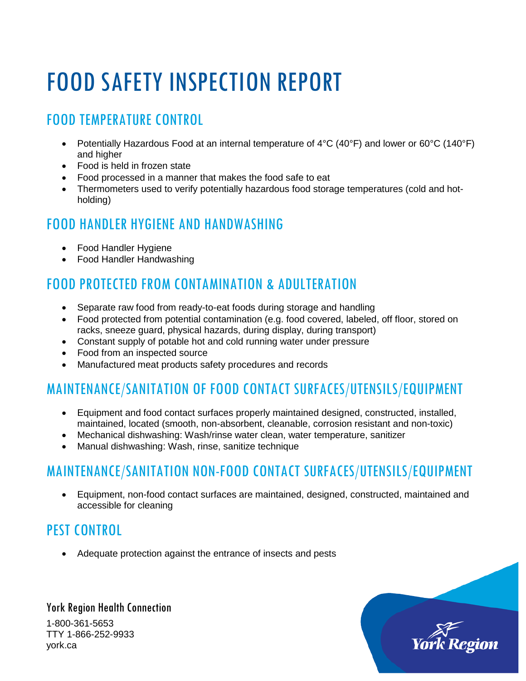# FOOD SAFETY INSPECTION REPORT

# FOOD TEMPERATURE CONTROL

- Potentially Hazardous Food at an internal temperature of  $4^{\circ}C$  (40 $^{\circ}F$ ) and lower or 60 $^{\circ}C$  (140 $^{\circ}F$ ) and higher
- Food is held in frozen state
- Food processed in a manner that makes the food safe to eat
- Thermometers used to verify potentially hazardous food storage temperatures (cold and hotholding)

#### FOOD HANDLER HYGIENE AND HANDWASHING

- Food Handler Hygiene
- Food Handler Handwashing

## FOOD PROTECTED FROM CONTAMINATION & ADULTERATION

- Separate raw food from ready-to-eat foods during storage and handling
- Food protected from potential contamination (e.g. food covered, labeled, off floor, stored on racks, sneeze guard, physical hazards, during display, during transport)
- Constant supply of potable hot and cold running water under pressure
- Food from an inspected source
- Manufactured meat products safety procedures and records

# MAINTENANCE/SANITATION OF FOOD CONTACT SURFACES/UTENSILS/EQUIPMENT

- Equipment and food contact surfaces properly maintained designed, constructed, installed, maintained, located (smooth, non-absorbent, cleanable, corrosion resistant and non-toxic)
- Mechanical dishwashing: Wash/rinse water clean, water temperature, sanitizer
- Manual dishwashing: Wash, rinse, sanitize technique

### MAINTENANCE/SANITATION NON-FOOD CONTACT SURFACES/UTENSILS/EQUIPMENT

• Equipment, non-food contact surfaces are maintained, designed, constructed, maintained and accessible for cleaning

### PEST CONTROL

• Adequate protection against the entrance of insects and pests

#### York Region Health Connection 1-800-361-5653 TTY 1-866-252-9933 york.ca